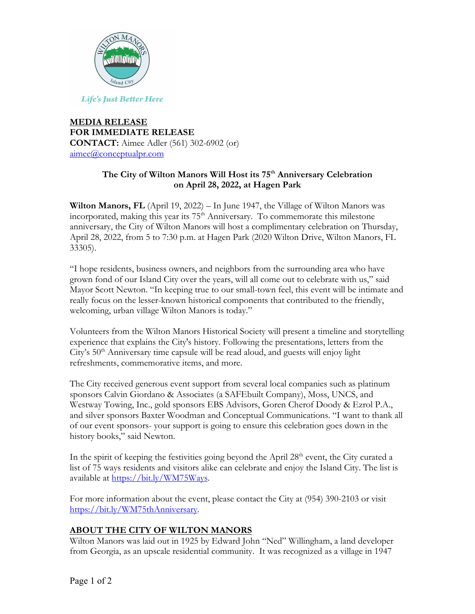

**Life's Just Better Here** 

**MEDIA RELEASE FOR IMMEDIATE RELEASE CONTACT:** Aimee Adler (561) 302-6902 (or) aimee@conceptualpr.com

## **The City of Wilton Manors Will Host its 75th Anniversary Celebration on April 28, 2022, at Hagen Park**

**Wilton Manors, FL** (April 19, 2022) – In June 1947, the Village of Wilton Manors was incorporated, making this year its  $75<sup>th</sup>$  Anniversary. To commemorate this milestone anniversary, the City of Wilton Manors will host a complimentary celebration on Thursday, April 28, 2022, from 5 to 7:30 p.m. at Hagen Park (2020 Wilton Drive, Wilton Manors, FL 33305).

"I hope residents, business owners, and neighbors from the surrounding area who have grown fond of our Island City over the years, will all come out to celebrate with us," said Mayor Scott Newton. "In keeping true to our small-town feel, this event will be intimate and really focus on the lesser-known historical components that contributed to the friendly, welcoming, urban village Wilton Manors is today."

Volunteers from the Wilton Manors Historical Society will present a timeline and storytelling experience that explains the City's history. Following the presentations, letters from the City's  $50<sup>th</sup>$  Anniversary time capsule will be read aloud, and guests will enjoy light refreshments, commemorative items, and more.

The City received generous event support from several local companies such as platinum sponsors Calvin Giordano & Associates (a SAFEbuilt Company), Moss, UNCS, and Westway Towing, Inc., gold sponsors EBS Advisors, Goren Cherof Doody & Ezrol P.A., and silver sponsors Baxter Woodman and Conceptual Communications. "I want to thank all of our event sponsors- your support is going to ensure this celebration goes down in the history books," said Newton.

In the spirit of keeping the festivities going beyond the April  $28<sup>th</sup>$  event, the City curated a list of 75 ways residents and visitors alike can celebrate and enjoy the Island City. The list is available at https://bit.ly/WM75Ways.

For more information about the event, please contact the City at (954) 390-2103 or visit https://bit.ly/WM75thAnniversary.

## **ABOUT THE CITY OF WILTON MANORS**

Wilton Manors was laid out in 1925 by Edward John "Ned" Willingham, a land developer from Georgia, as an upscale residential community. It was recognized as a village in 1947